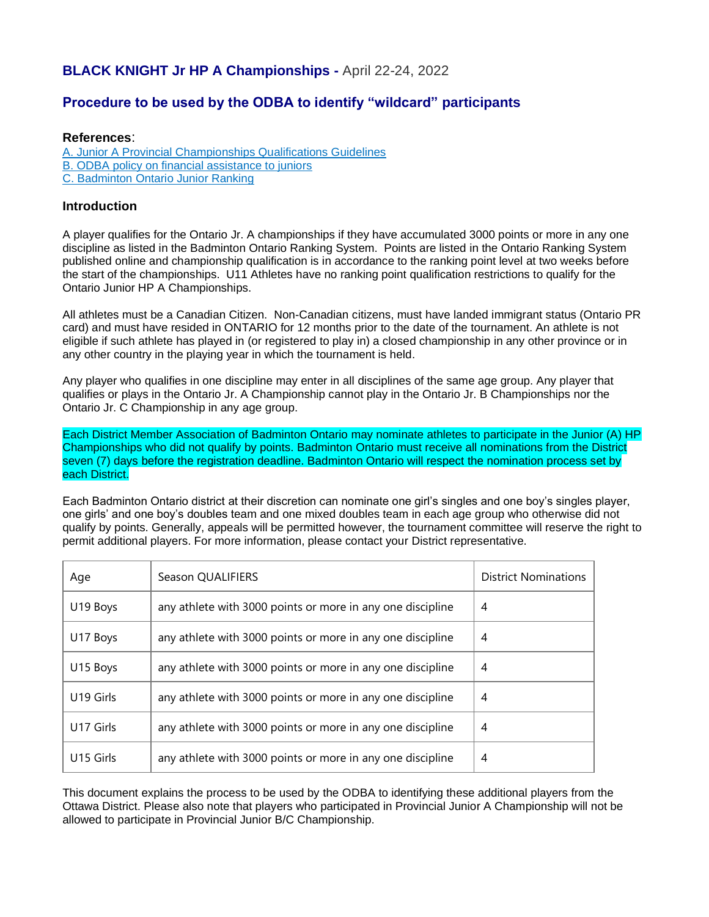# **BLACK KNIGHT Jr HP A Championships -** April 22-24, 2022

## **Procedure to be used by the ODBA to identify "wildcard" participants**

#### **References**:

[A. Junior A Provincial Championships Qualifications Guidelines](https://www.badmintonontario.ca/ontario-provincial-championships/) [B. ODBA policy on financial assistance to juniors](http://www.badmintonottawa.com/financial_assistance_policy.htm)

[C. Badminton Ontario Junior Ranking](https://www.badminton.ca/ranking/ranking.aspx?rid=33)

### **Introduction**

A player qualifies for the Ontario Jr. A championships if they have accumulated 3000 points or more in any one discipline as listed in the Badminton Ontario Ranking System. Points are listed in the Ontario Ranking System published online and championship qualification is in accordance to the ranking point level at two weeks before the start of the championships. U11 Athletes have no ranking point qualification restrictions to qualify for the Ontario Junior HP A Championships.

All athletes must be a Canadian Citizen. Non-Canadian citizens, must have landed immigrant status (Ontario PR card) and must have resided in ONTARIO for 12 months prior to the date of the tournament. An athlete is not eligible if such athlete has played in (or registered to play in) a closed championship in any other province or in any other country in the playing year in which the tournament is held.

Any player who qualifies in one discipline may enter in all disciplines of the same age group. Any player that qualifies or plays in the Ontario Jr. A Championship cannot play in the Ontario Jr. B Championships nor the Ontario Jr. C Championship in any age group.

Each District Member Association of Badminton Ontario may nominate athletes to participate in the Junior (A) HP Championships who did not qualify by points. Badminton Ontario must receive all nominations from the District seven (7) days before the registration deadline. Badminton Ontario will respect the nomination process set by each District.

Each Badminton Ontario district at their discretion can nominate one girl's singles and one boy's singles player, one girls' and one boy's doubles team and one mixed doubles team in each age group who otherwise did not qualify by points. Generally, appeals will be permitted however, the tournament committee will reserve the right to permit additional players. For more information, please contact your District representative.

| Age       | Season QUALIFIERS                                          | <b>District Nominations</b> |
|-----------|------------------------------------------------------------|-----------------------------|
| U19 Boys  | any athlete with 3000 points or more in any one discipline | 4                           |
| U17 Boys  | any athlete with 3000 points or more in any one discipline | 4                           |
| U15 Boys  | any athlete with 3000 points or more in any one discipline | 4                           |
| U19 Girls | any athlete with 3000 points or more in any one discipline | 4                           |
| U17 Girls | any athlete with 3000 points or more in any one discipline | 4                           |
| U15 Girls | any athlete with 3000 points or more in any one discipline | 4                           |

This document explains the process to be used by the ODBA to identifying these additional players from the Ottawa District. Please also note that players who participated in Provincial Junior A Championship will not be allowed to participate in Provincial Junior B/C Championship.